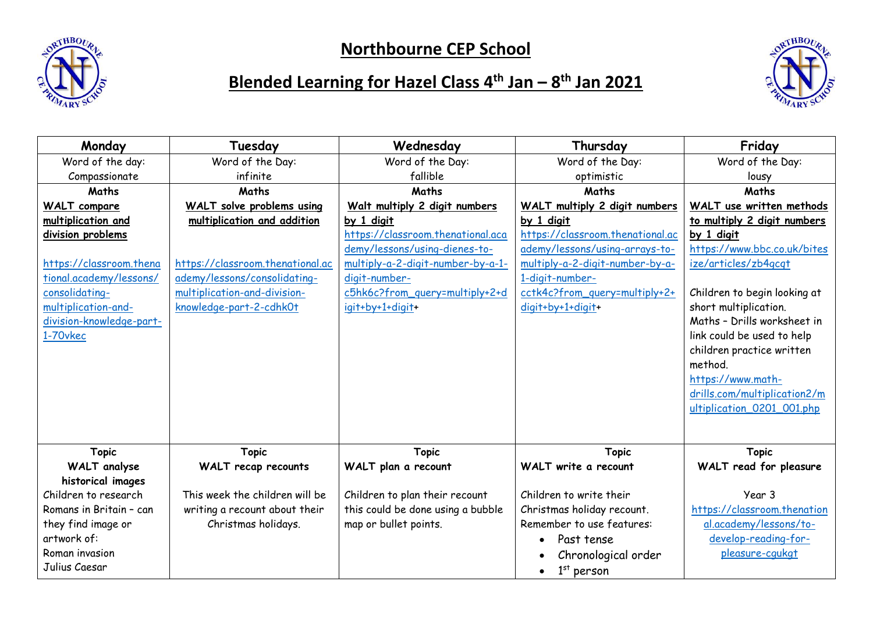

## **Northbourne CEP School**



## **Blended Learning for Hazel Class 4 th Jan – 8 th Jan 2021**

| Monday                   | Tuesday                          | Wednesday                         | Thursday                         | Friday                       |
|--------------------------|----------------------------------|-----------------------------------|----------------------------------|------------------------------|
| Word of the day:         | Word of the Day:                 | Word of the Day:                  | Word of the Day:                 | Word of the Day:             |
| Compassionate            | infinite                         | fallible                          | optimistic                       | lousy                        |
| Maths                    | <b>Maths</b>                     | <b>Maths</b>                      | Maths                            | <b>Maths</b>                 |
| <b>WALT</b> compare      | WALT solve problems using        | Walt_multiply 2_digit_numbers     | WALT multiply 2 digit numbers    | WALT use written methods     |
| multiplication and       | multiplication and addition      | by 1 digit                        | by 1 digit                       | to multiply 2 digit numbers  |
| division problems        |                                  | https://classroom.thenational.aca | https://classroom.thenational.ac | by 1 digit                   |
|                          |                                  | demy/lessons/using-dienes-to-     | ademy/lessons/using-arrays-to-   | https://www.bbc.co.uk/bites  |
| https://classroom.thena  | https://classroom.thenational.ac | multiply-a-2-digit-number-by-a-1- | multiply-a-2-digit-number-by-a-  | ize/articles/zb4qcqt         |
| tional.academy/lessons/  | ademy/lessons/consolidating-     | digit-number-                     | 1-digit-number-                  |                              |
| consolidating-           | multiplication-and-division-     | c5hk6c?from_query=multiply+2+d    | cctk4c?from_query=multiply+2+    | Children to begin looking at |
| multiplication-and-      | knowledge-part-2-cdhk0t          | igit+by+1+digit+                  | digit+by+1+digit+                | short multiplication.        |
| division-knowledge-part- |                                  |                                   |                                  | Maths - Drills worksheet in  |
| 1-70vkec                 |                                  |                                   |                                  | link could be used to help   |
|                          |                                  |                                   |                                  | children practice written    |
|                          |                                  |                                   |                                  | method.                      |
|                          |                                  |                                   |                                  | https://www.math-            |
|                          |                                  |                                   |                                  | drills.com/multiplication2/m |
|                          |                                  |                                   |                                  | ultiplication_0201_001.php   |
|                          |                                  |                                   |                                  |                              |
|                          |                                  |                                   |                                  |                              |
| <b>Topic</b>             | <b>Topic</b>                     | <b>Topic</b>                      | <b>Topic</b>                     | <b>Topic</b>                 |
| <b>WALT</b> analyse      | WALT recap recounts              | WALT plan a recount               | WALT write a recount             | WALT read for pleasure       |
| historical images        |                                  |                                   |                                  |                              |
| Children to research     | This week the children will be   | Children to plan their recount    | Children to write their          | Year 3                       |
| Romans in Britain - can  | writing a recount about their    | this could be done using a bubble | Christmas holiday recount.       | https://classroom.thenation  |
| they find image or       | Christmas holidays.              | map or bullet points.             | Remember to use features:        | al.academy/lessons/to-       |
| artwork of:              |                                  |                                   | Past tense<br>$\bullet$          | develop-reading-for-         |
| Roman invasion           |                                  |                                   | Chronological order              | pleasure-cqukgt              |
| Julius Caesar            |                                  |                                   | $1st$ person<br>$\bullet$        |                              |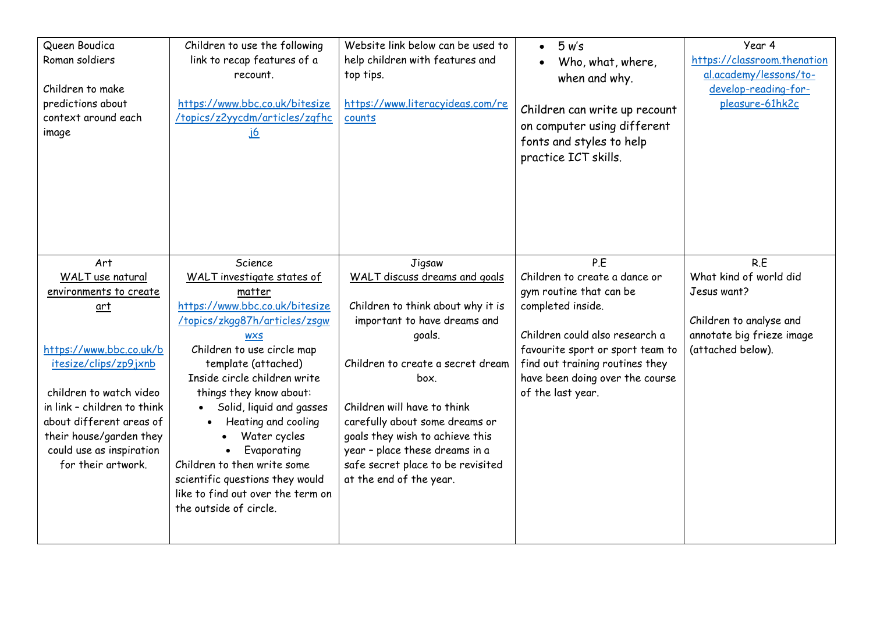| Queen Boudica<br>Roman soldiers<br>Children to make<br>predictions about<br>context around each<br>image | Children to use the following<br>link to recap features of a<br>recount.<br>https://www.bbc.co.uk/bitesize<br>/topics/z2yycdm/articles/zqfhc<br><u>j6</u> | Website link below can be used to<br>help children with features and<br>top tips.<br>https://www.literacyideas.com/re<br>counts | 5 w's<br>$\bullet$<br>Who, what, where,<br>when and why.<br>Children can write up recount<br>on computer using different<br>fonts and styles to help<br>practice ICT skills. | Year 4<br>https://classroom.thenation<br>al.academy/lessons/to-<br>develop-reading-for-<br>pleasure-61hk2c |
|----------------------------------------------------------------------------------------------------------|-----------------------------------------------------------------------------------------------------------------------------------------------------------|---------------------------------------------------------------------------------------------------------------------------------|------------------------------------------------------------------------------------------------------------------------------------------------------------------------------|------------------------------------------------------------------------------------------------------------|
| Art<br>WALT use natural                                                                                  | Science<br>WALT investigate states of                                                                                                                     | Jigsaw<br>WALT discuss dreams and goals                                                                                         | P.E<br>Children to create a dance or                                                                                                                                         | R.E<br>What kind of world did                                                                              |
| environments to create                                                                                   | matter                                                                                                                                                    |                                                                                                                                 | gym routine that can be                                                                                                                                                      | Jesus want?                                                                                                |
| $art$                                                                                                    | https://www.bbc.co.uk/bitesize                                                                                                                            | Children to think about why it is                                                                                               | completed inside.                                                                                                                                                            |                                                                                                            |
|                                                                                                          | /topics/zkgq87h/articles/zsqw                                                                                                                             | important to have dreams and                                                                                                    |                                                                                                                                                                              | Children to analyse and                                                                                    |
|                                                                                                          | <b>WXS</b>                                                                                                                                                | goals.                                                                                                                          | Children could also research a                                                                                                                                               | annotate big frieze image                                                                                  |
| https://www.bbc.co.uk/b                                                                                  | Children to use circle map                                                                                                                                |                                                                                                                                 | favourite sport or sport team to                                                                                                                                             | (attached below).                                                                                          |
| itesize/clips/zp9jxnb                                                                                    | template (attached)                                                                                                                                       | Children to create a secret dream                                                                                               | find out training routines they                                                                                                                                              |                                                                                                            |
| children to watch video                                                                                  | Inside circle children write                                                                                                                              | box.                                                                                                                            | have been doing over the course                                                                                                                                              |                                                                                                            |
| in link - children to think                                                                              | things they know about:<br>Solid, liquid and gasses<br>$\bullet$                                                                                          | Children will have to think                                                                                                     | of the last year.                                                                                                                                                            |                                                                                                            |
| about different areas of                                                                                 | Heating and cooling<br>$\bullet$                                                                                                                          | carefully about some dreams or                                                                                                  |                                                                                                                                                                              |                                                                                                            |
| their house/garden they                                                                                  | Water cycles<br>$\bullet$                                                                                                                                 | goals they wish to achieve this                                                                                                 |                                                                                                                                                                              |                                                                                                            |
| could use as inspiration                                                                                 | Evaporating<br>$\bullet$                                                                                                                                  | year - place these dreams in a                                                                                                  |                                                                                                                                                                              |                                                                                                            |
| for their artwork.                                                                                       | Children to then write some                                                                                                                               | safe secret place to be revisited                                                                                               |                                                                                                                                                                              |                                                                                                            |
|                                                                                                          | scientific questions they would                                                                                                                           | at the end of the year.                                                                                                         |                                                                                                                                                                              |                                                                                                            |
|                                                                                                          | like to find out over the term on                                                                                                                         |                                                                                                                                 |                                                                                                                                                                              |                                                                                                            |
|                                                                                                          | the outside of circle.                                                                                                                                    |                                                                                                                                 |                                                                                                                                                                              |                                                                                                            |
|                                                                                                          |                                                                                                                                                           |                                                                                                                                 |                                                                                                                                                                              |                                                                                                            |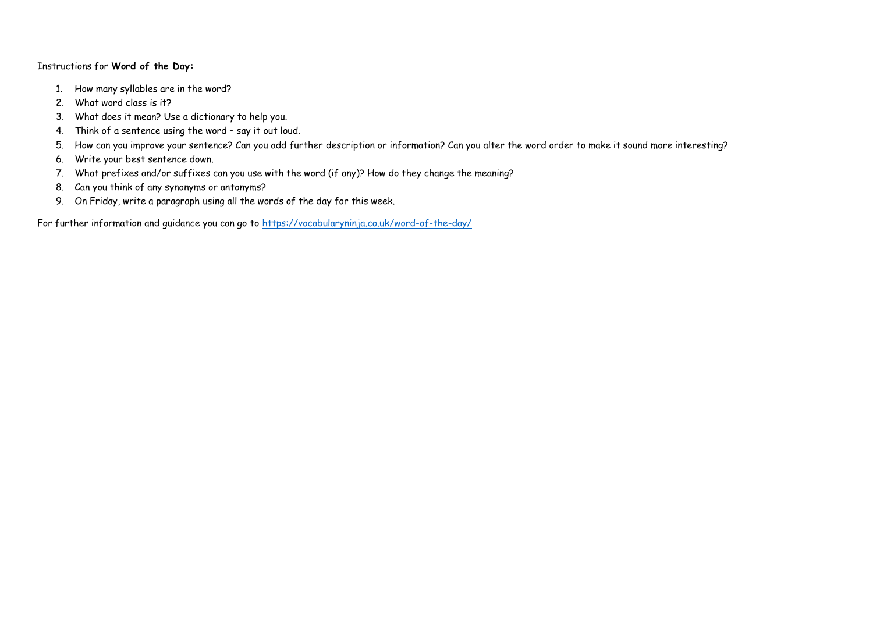## Instructions for **Word of the Day:**

- 1. How many syllables are in the word?
- 2. What word class is it?
- 3. What does it mean? Use a dictionary to help you.
- 4. Think of a sentence using the word say it out loud.
- 5. How can you improve your sentence? Can you add further description or information? Can you alter the word order to make it sound more interesting?
- 6. Write your best sentence down.
- 7. What prefixes and/or suffixes can you use with the word (if any)? How do they change the meaning?
- 8. Can you think of any synonyms or antonyms?
- 9. On Friday, write a paragraph using all the words of the day for this week.

For further information and guidance you can go to<https://vocabularyninja.co.uk/word-of-the-day/>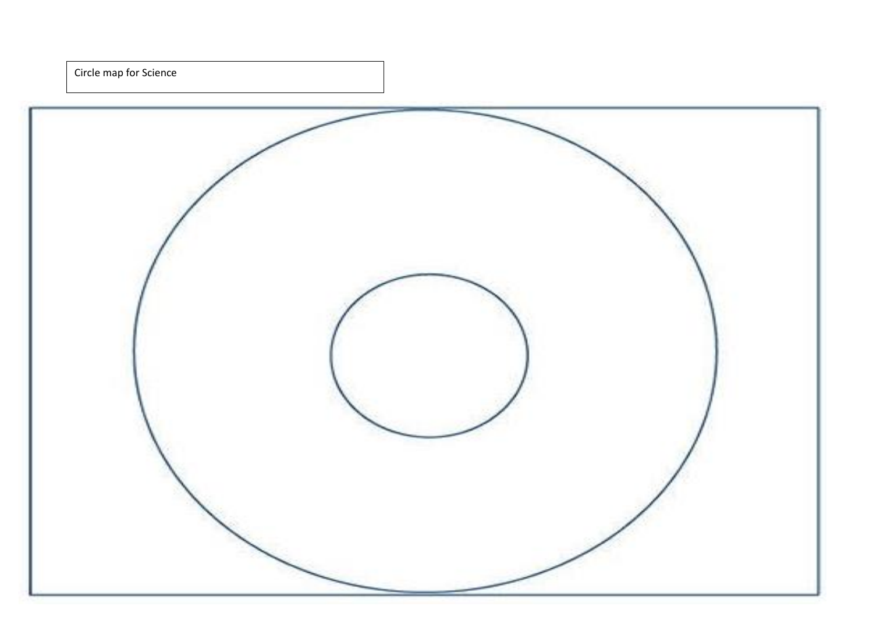